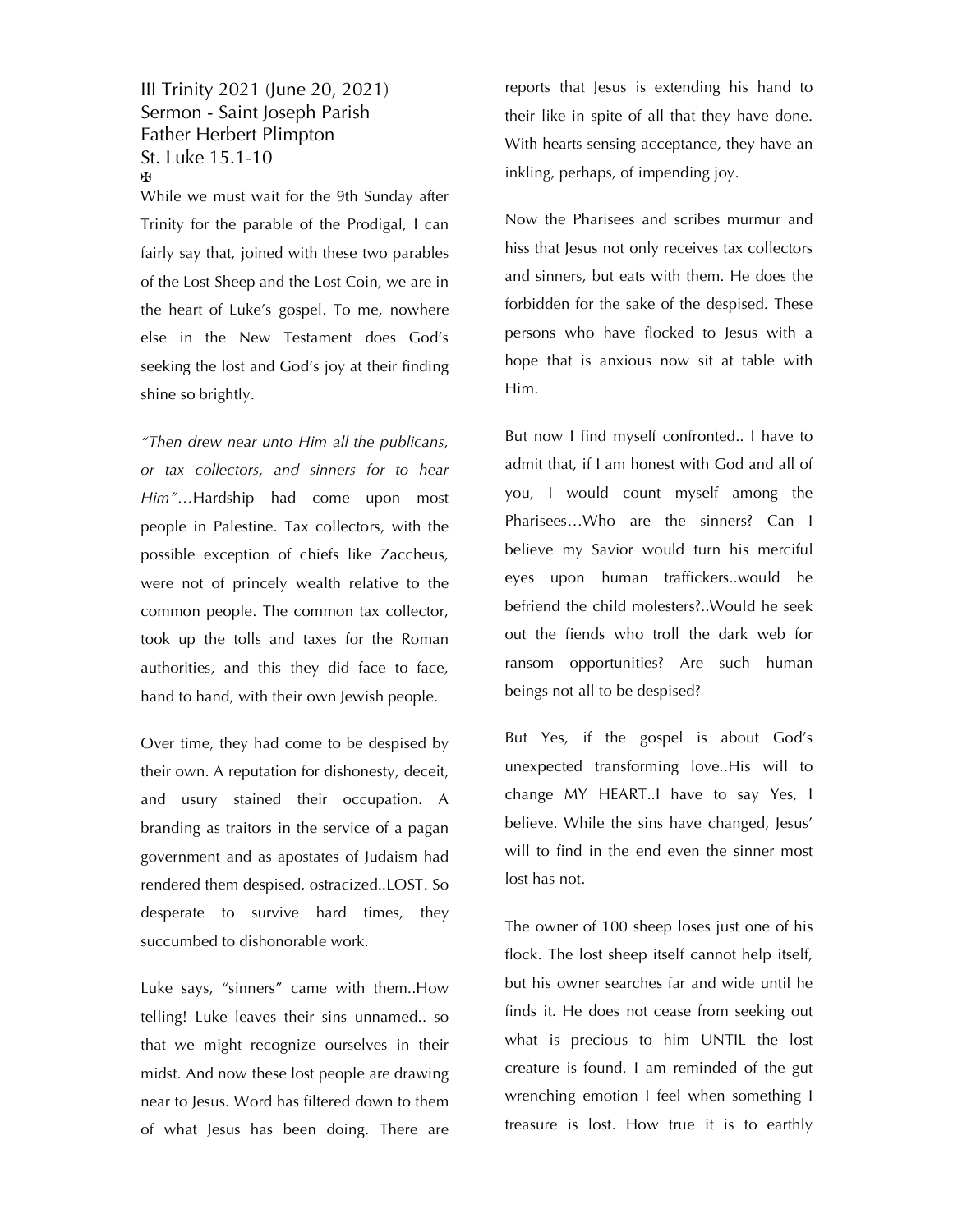## III Trinity 2021 (June 20, 2021) Sermon - Saint Joseph Parish Father Herbert Plimpton St. Luke 15.1-10 ✠

While we must wait for the 9th Sunday after Trinity for the parable of the Prodigal, I can fairly say that, joined with these two parables of the Lost Sheep and the Lost Coin, we are in the heart of Luke's gospel. To me, nowhere else in the New Testament does God's seeking the lost and God's joy at their finding shine so brightly.

*"Then drew near unto Him all the publicans, or tax collectors, and sinners for to hear Him"…*Hardship had come upon most people in Palestine. Tax collectors, with the possible exception of chiefs like Zaccheus, were not of princely wealth relative to the common people. The common tax collector, took up the tolls and taxes for the Roman authorities, and this they did face to face, hand to hand, with their own Jewish people.

Over time, they had come to be despised by their own. A reputation for dishonesty, deceit, and usury stained their occupation. A branding as traitors in the service of a pagan government and as apostates of Judaism had rendered them despised, ostracized..LOST. So desperate to survive hard times, they succumbed to dishonorable work.

Luke says, "sinners" came with them..How telling! Luke leaves their sins unnamed.. so that we might recognize ourselves in their midst. And now these lost people are drawing near to Jesus. Word has filtered down to them of what Jesus has been doing. There are

reports that Jesus is extending his hand to their like in spite of all that they have done. With hearts sensing acceptance, they have an inkling, perhaps, of impending joy.

Now the Pharisees and scribes murmur and hiss that Jesus not only receives tax collectors and sinners, but eats with them. He does the forbidden for the sake of the despised. These persons who have flocked to Jesus with a hope that is anxious now sit at table with Him.

But now I find myself confronted.. I have to admit that, if I am honest with God and all of you, I would count myself among the Pharisees…Who are the sinners? Can I believe my Savior would turn his merciful eyes upon human traffickers..would he befriend the child molesters?..Would he seek out the fiends who troll the dark web for ransom opportunities? Are such human beings not all to be despised?

But Yes, if the gospel is about God's unexpected transforming love..His will to change MY HEART..I have to say Yes, I believe. While the sins have changed, Jesus' will to find in the end even the sinner most lost has not.

The owner of 100 sheep loses just one of his flock. The lost sheep itself cannot help itself, but his owner searches far and wide until he finds it. He does not cease from seeking out what is precious to him UNTIL the lost creature is found. I am reminded of the gut wrenching emotion I feel when something I treasure is lost. How true it is to earthly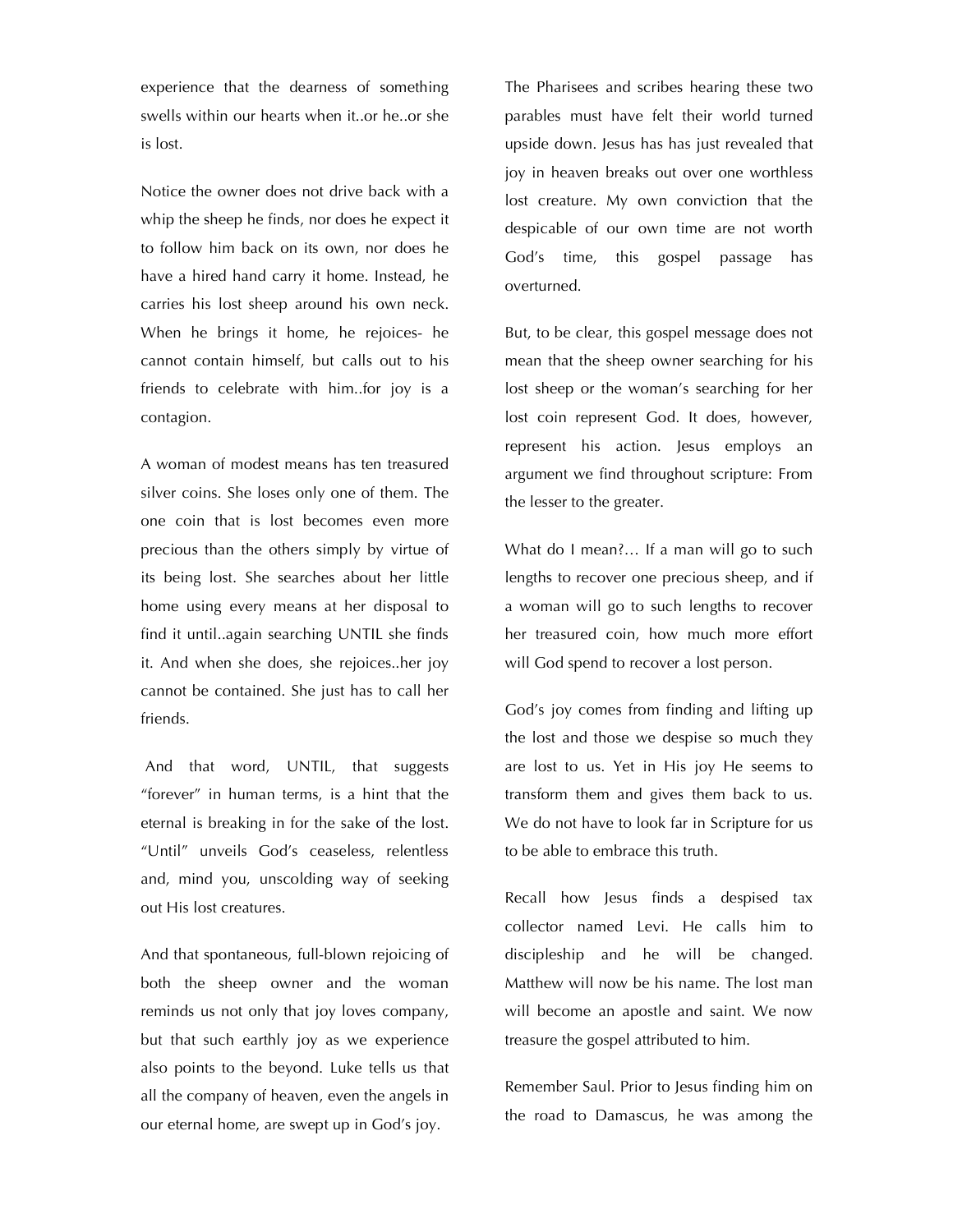experience that the dearness of something swells within our hearts when it..or he..or she is lost.

Notice the owner does not drive back with a whip the sheep he finds, nor does he expect it to follow him back on its own, nor does he have a hired hand carry it home. Instead, he carries his lost sheep around his own neck. When he brings it home, he rejoices- he cannot contain himself, but calls out to his friends to celebrate with him..for joy is a contagion.

A woman of modest means has ten treasured silver coins. She loses only one of them. The one coin that is lost becomes even more precious than the others simply by virtue of its being lost. She searches about her little home using every means at her disposal to find it until..again searching UNTIL she finds it. And when she does, she rejoices..her joy cannot be contained. She just has to call her friends.

And that word, UNTIL, that suggests "forever" in human terms, is a hint that the eternal is breaking in for the sake of the lost. "Until" unveils God's ceaseless, relentless and, mind you, unscolding way of seeking out His lost creatures.

And that spontaneous, full-blown rejoicing of both the sheep owner and the woman reminds us not only that joy loves company, but that such earthly joy as we experience also points to the beyond. Luke tells us that all the company of heaven, even the angels in our eternal home, are swept up in God's joy.

The Pharisees and scribes hearing these two parables must have felt their world turned upside down. Jesus has has just revealed that joy in heaven breaks out over one worthless lost creature. My own conviction that the despicable of our own time are not worth God's time, this gospel passage has overturned.

But, to be clear, this gospel message does not mean that the sheep owner searching for his lost sheep or the woman's searching for her lost coin represent God. It does, however, represent his action. Jesus employs an argument we find throughout scripture: From the lesser to the greater.

What do I mean?… If a man will go to such lengths to recover one precious sheep, and if a woman will go to such lengths to recover her treasured coin, how much more effort will God spend to recover a lost person.

God's joy comes from finding and lifting up the lost and those we despise so much they are lost to us. Yet in His joy He seems to transform them and gives them back to us. We do not have to look far in Scripture for us to be able to embrace this truth.

Recall how Jesus finds a despised tax collector named Levi. He calls him to discipleship and he will be changed. Matthew will now be his name. The lost man will become an apostle and saint. We now treasure the gospel attributed to him.

Remember Saul. Prior to Jesus finding him on the road to Damascus, he was among the